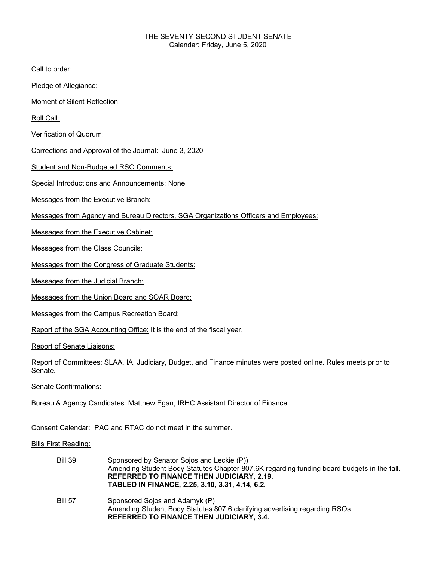## THE SEVENTY-SECOND STUDENT SENATE Calendar: Friday, June 5, 2020

Call to order:

Pledge of Allegiance:

Moment of Silent Reflection:

Roll Call:

Verification of Quorum:

Corrections and Approval of the Journal: June 3, 2020

Student and Non-Budgeted RSO Comments:

Special Introductions and Announcements: None

Messages from the Executive Branch:

Messages from Agency and Bureau Directors, SGA Organizations Officers and Employees:

Messages from the Executive Cabinet:

Messages from the Class Councils:

Messages from the Congress of Graduate Students:

Messages from the Judicial Branch:

Messages from the Union Board and SOAR Board:

Messages from the Campus Recreation Board:

Report of the SGA Accounting Office: It is the end of the fiscal year.

Report of Senate Liaisons:

Report of Committees: SLAA, IA, Judiciary, Budget, and Finance minutes were posted online. Rules meets prior to Senate.

Senate Confirmations:

Bureau & Agency Candidates: Matthew Egan, IRHC Assistant Director of Finance

Consent Calendar: PAC and RTAC do not meet in the summer.

Bills First Reading:

| <b>Bill 39</b> | Sponsored by Senator Sojos and Leckie (P))<br>Amending Student Body Statutes Chapter 807.6K regarding funding board budgets in the fall.<br><b>REFERRED TO FINANCE THEN JUDICIARY, 2.19.</b><br>TABLED IN FINANCE, 2.25, 3.10, 3.31, 4.14, 6.2. |
|----------------|-------------------------------------------------------------------------------------------------------------------------------------------------------------------------------------------------------------------------------------------------|
| <b>Bill 57</b> | Sponsored Sojos and Adamyk (P)<br>Amending Student Body Statutes 807.6 clarifying advertising regarding RSOs.<br><b>REFERRED TO FINANCE THEN JUDICIARY, 3.4.</b>                                                                                |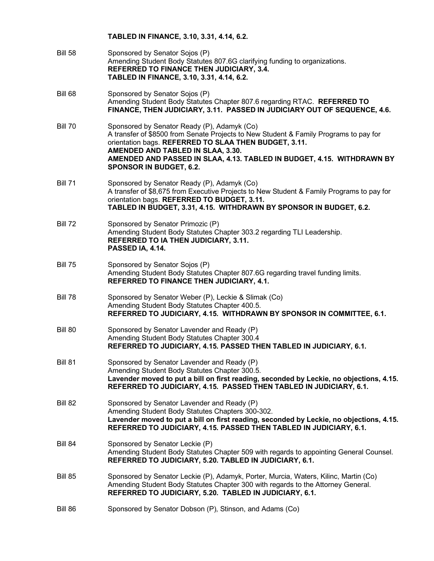- Bill 58 Sponsored by Senator Sojos (P) Amending Student Body Statutes 807.6G clarifying funding to organizations. **REFERRED TO FINANCE THEN JUDICIARY, 3.4. TABLED IN FINANCE, 3.10, 3.31, 4.14, 6.2.**
- Bill 68 Sponsored by Senator Sojos (P) Amending Student Body Statutes Chapter 807.6 regarding RTAC. **REFERRED TO FINANCE, THEN JUDICIARY, 3.11. PASSED IN JUDICIARY OUT OF SEQUENCE, 4.6.**
- Bill 70 Sponsored by Senator Ready (P), Adamyk (Co) A transfer of \$8500 from Senate Projects to New Student & Family Programs to pay for orientation bags. **REFERRED TO SLAA THEN BUDGET, 3.11. AMENDED AND TABLED IN SLAA, 3.30. AMENDED AND PASSED IN SLAA, 4.13. TABLED IN BUDGET, 4.15. WITHDRAWN BY SPONSOR IN BUDGET, 6.2.**
- Bill 71 Sponsored by Senator Ready (P), Adamyk (Co) A transfer of \$8,675 from Executive Projects to New Student & Family Programs to pay for orientation bags. **REFERRED TO BUDGET, 3.11. TABLED IN BUDGET, 3.31, 4.15. WITHDRAWN BY SPONSOR IN BUDGET, 6.2.**
- Bill 72 Sponsored by Senator Primozic (P) Amending Student Body Statutes Chapter 303.2 regarding TLI Leadership. **REFERRED TO IA THEN JUDICIARY, 3.11. PASSED IA, 4.14.**
- Bill 75 Sponsored by Senator Sojos (P) Amending Student Body Statutes Chapter 807.6G regarding travel funding limits. **REFERRED TO FINANCE THEN JUDICIARY, 4.1.**
- Bill 78 Sponsored by Senator Weber (P), Leckie & Slimak (Co) Amending Student Body Statutes Chapter 400.5. **REFERRED TO JUDICIARY, 4.15. WITHDRAWN BY SPONSOR IN COMMITTEE, 6.1.**
- Bill 80 Sponsored by Senator Lavender and Ready (P) Amending Student Body Statutes Chapter 300.4 **REFERRED TO JUDICIARY, 4.15. PASSED THEN TABLED IN JUDICIARY, 6.1.**
- Bill 81 Sponsored by Senator Lavender and Ready (P) Amending Student Body Statutes Chapter 300.5. **Lavender moved to put a bill on first reading, seconded by Leckie, no objections, 4.15. REFERRED TO JUDICIARY, 4.15. PASSED THEN TABLED IN JUDICIARY, 6.1.**
- Bill 82 Sponsored by Senator Lavender and Ready (P) Amending Student Body Statutes Chapters 300-302. **Lavender moved to put a bill on first reading, seconded by Leckie, no objections, 4.15. REFERRED TO JUDICIARY, 4.15. PASSED THEN TABLED IN JUDICIARY, 6.1.**
- Bill 84 Sponsored by Senator Leckie (P) Amending Student Body Statutes Chapter 509 with regards to appointing General Counsel. **REFERRED TO JUDICIARY, 5.20. TABLED IN JUDICIARY, 6.1.**
- Bill 85 Sponsored by Senator Leckie (P), Adamyk, Porter, Murcia, Waters, Kilinc, Martin (Co) Amending Student Body Statutes Chapter 300 with regards to the Attorney General. **REFERRED TO JUDICIARY, 5.20. TABLED IN JUDICIARY, 6.1.**
- Bill 86 Sponsored by Senator Dobson (P), Stinson, and Adams (Co)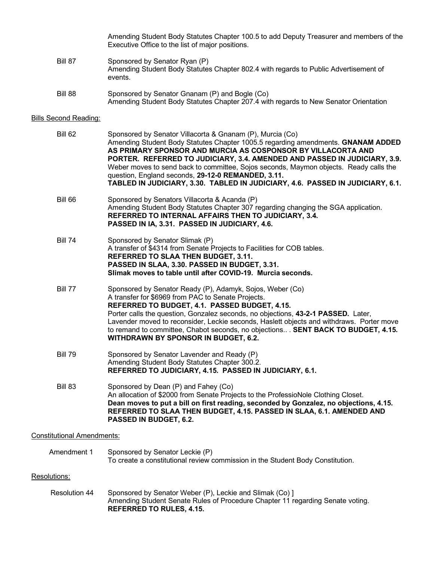Amending Student Body Statutes Chapter 100.5 to add Deputy Treasurer and members of the Executive Office to the list of major positions.

- Bill 87 Sponsored by Senator Ryan (P) Amending Student Body Statutes Chapter 802.4 with regards to Public Advertisement of events.
- Bill 88 Sponsored by Senator Gnanam (P) and Bogle (Co) Amending Student Body Statutes Chapter 207.4 with regards to New Senator Orientation

## Bills Second Reading:

| Bill 62        | Sponsored by Senator Villacorta & Gnanam (P), Murcia (Co)<br>Amending Student Body Statutes Chapter 1005.5 regarding amendments. GNANAM ADDED<br>AS PRIMARY SPONSOR AND MURCIA AS COSPONSOR BY VILLACORTA AND<br>PORTER. REFERRED TO JUDICIARY, 3.4. AMENDED AND PASSED IN JUDICIARY, 3.9.<br>Weber moves to send back to committee, Sojos seconds, Maymon objects. Ready calls the<br>question, England seconds, 29-12-0 REMANDED, 3.11.<br>TABLED IN JUDICIARY, 3.30. TABLED IN JUDICIARY, 4.6. PASSED IN JUDICIARY, 6.1. |
|----------------|-----------------------------------------------------------------------------------------------------------------------------------------------------------------------------------------------------------------------------------------------------------------------------------------------------------------------------------------------------------------------------------------------------------------------------------------------------------------------------------------------------------------------------|
| Bill 66        | Sponsored by Senators Villacorta & Acanda (P)<br>Amending Student Body Statutes Chapter 307 regarding changing the SGA application.<br>REFERRED TO INTERNAL AFFAIRS THEN TO JUDICIARY, 3.4.<br>PASSED IN IA, 3.31. PASSED IN JUDICIARY, 4.6.                                                                                                                                                                                                                                                                                |
| <b>Bill 74</b> | Sponsored by Senator Slimak (P)<br>A transfer of \$4314 from Senate Projects to Facilities for COB tables.<br>REFERRED TO SLAA THEN BUDGET, 3.11.<br>PASSED IN SLAA, 3.30. PASSED IN BUDGET, 3.31.<br>Slimak moves to table until after COVID-19. Murcia seconds.                                                                                                                                                                                                                                                           |
| Bill 77        | Sponsored by Senator Ready (P), Adamyk, Sojos, Weber (Co)<br>A transfer for \$6969 from PAC to Senate Projects.<br>REFERRED TO BUDGET, 4.1. PASSED BUDGET, 4.15.<br>Porter calls the question, Gonzalez seconds, no objections, 43-2-1 PASSED. Later,<br>Lavender moved to reconsider, Leckie seconds, Haslett objects and withdraws. Porter move<br>to remand to committee, Chabot seconds, no objections SENT BACK TO BUDGET, 4.15.<br><b>WITHDRAWN BY SPONSOR IN BUDGET, 6.2.</b>                                        |
| Bill 79        | Sponsored by Senator Lavender and Ready (P)<br>Amending Student Body Statutes Chapter 300.2.<br>REFERRED TO JUDICIARY, 4.15. PASSED IN JUDICIARY, 6.1.                                                                                                                                                                                                                                                                                                                                                                      |
| Bill 83        | Sponsored by Dean (P) and Fahey (Co)<br>An allocation of \$2000 from Senate Projects to the ProfessioNole Clothing Closet.<br>Dean moves to put a bill on first reading, seconded by Gonzalez, no objections, 4.15.<br>REFERRED TO SLAA THEN BUDGET, 4.15. PASSED IN SLAA, 6.1. AMENDED AND<br>PASSED IN BUDGET, 6.2.                                                                                                                                                                                                       |

## Constitutional Amendments:

| Amendment 1 | Sponsored by Senator Leckie (P)                                                |
|-------------|--------------------------------------------------------------------------------|
|             | To create a constitutional review commission in the Student Body Constitution. |

## Resolutions:

Resolution 44 Sponsored by Senator Weber (P), Leckie and Slimak (Co) ] Amending Student Senate Rules of Procedure Chapter 11 regarding Senate voting. **REFERRED TO RULES, 4.15.**